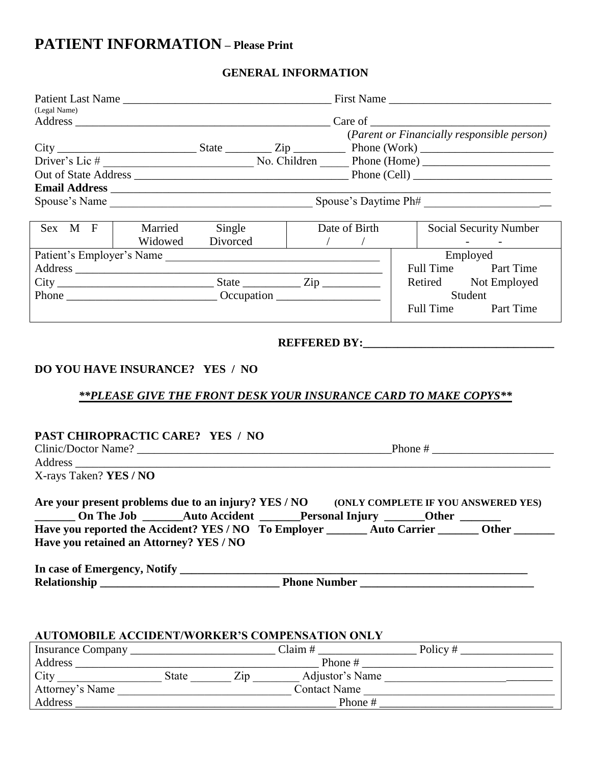# **PATIENT INFORMATION – Please Print**

### **GENERAL INFORMATION**

| (Legal Name)                            |  |                        |  |               |                                                                                                                                                                                                                                                                                                                                                                                                                                                        |
|-----------------------------------------|--|------------------------|--|---------------|--------------------------------------------------------------------------------------------------------------------------------------------------------------------------------------------------------------------------------------------------------------------------------------------------------------------------------------------------------------------------------------------------------------------------------------------------------|
|                                         |  |                        |  |               | (Parent or Financially responsible person)                                                                                                                                                                                                                                                                                                                                                                                                             |
|                                         |  |                        |  |               |                                                                                                                                                                                                                                                                                                                                                                                                                                                        |
|                                         |  |                        |  |               |                                                                                                                                                                                                                                                                                                                                                                                                                                                        |
|                                         |  |                        |  |               |                                                                                                                                                                                                                                                                                                                                                                                                                                                        |
|                                         |  |                        |  |               |                                                                                                                                                                                                                                                                                                                                                                                                                                                        |
|                                         |  |                        |  |               |                                                                                                                                                                                                                                                                                                                                                                                                                                                        |
|                                         |  |                        |  |               |                                                                                                                                                                                                                                                                                                                                                                                                                                                        |
| Sex M F   Married Single                |  |                        |  | Date of Birth | <b>Social Security Number</b>                                                                                                                                                                                                                                                                                                                                                                                                                          |
|                                         |  | Widowed Divorced / / / |  |               | $\label{eq:2.1} \frac{1}{\sqrt{2}}\left(\frac{1}{\sqrt{2}}\right)^{2} \left(\frac{1}{\sqrt{2}}\right)^{2} \left(\frac{1}{\sqrt{2}}\right)^{2} \left(\frac{1}{\sqrt{2}}\right)^{2} \left(\frac{1}{\sqrt{2}}\right)^{2} \left(\frac{1}{\sqrt{2}}\right)^{2} \left(\frac{1}{\sqrt{2}}\right)^{2} \left(\frac{1}{\sqrt{2}}\right)^{2} \left(\frac{1}{\sqrt{2}}\right)^{2} \left(\frac{1}{\sqrt{2}}\right)^{2} \left(\frac{1}{\sqrt{2}}\right)^{2} \left(\$ |
| Patient's Employer's Name               |  |                        |  |               | Employed                                                                                                                                                                                                                                                                                                                                                                                                                                               |
|                                         |  |                        |  |               | Full Time Part Time                                                                                                                                                                                                                                                                                                                                                                                                                                    |
|                                         |  |                        |  |               | Retired Not Employed                                                                                                                                                                                                                                                                                                                                                                                                                                   |
|                                         |  |                        |  |               | Student                                                                                                                                                                                                                                                                                                                                                                                                                                                |
|                                         |  |                        |  |               | Full Time Part Time                                                                                                                                                                                                                                                                                                                                                                                                                                    |
| DO YOU HAVE INSURANCE? YES / NO         |  |                        |  |               | **PLEASE GIVE THE FRONT DESK YOUR INSURANCE CARD TO MAKE COPYS**                                                                                                                                                                                                                                                                                                                                                                                       |
| PAST CHIROPRACTIC CARE? YES / NO        |  |                        |  |               |                                                                                                                                                                                                                                                                                                                                                                                                                                                        |
| X-rays Taken? YES / NO                  |  |                        |  |               |                                                                                                                                                                                                                                                                                                                                                                                                                                                        |
| Have you retained an Attorney? YES / NO |  |                        |  |               | Are your present problems due to an injury? YES / NO (ONLY COMPLETE IF YOU ANSWERED YES)<br>_________ On The Job __________ Auto Accident ________Personal Injury ________Other ________<br>Have you reported the Accident? YES / NO To Employer _______ Auto Carrier ______ Other ______                                                                                                                                                              |
|                                         |  |                        |  |               |                                                                                                                                                                                                                                                                                                                                                                                                                                                        |
|                                         |  |                        |  |               |                                                                                                                                                                                                                                                                                                                                                                                                                                                        |

### **AUTOMOBILE ACCIDENT/WORKER'S COMPENSATION ONLY**

| <b>Insurance Company</b> |       |     | Claim $#$           | Policy# |
|--------------------------|-------|-----|---------------------|---------|
| Address                  |       |     | Phone #             |         |
| City                     | State | 71D | Adjustor's Name     |         |
| Attorney's Name          |       |     | <b>Contact Name</b> |         |
| Address                  |       |     | Phone #             |         |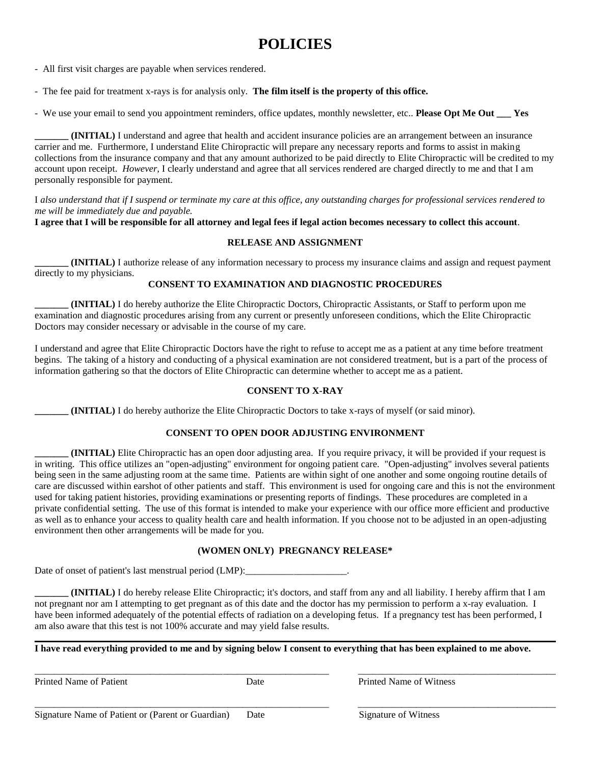# **POLICIES**

- All first visit charges are payable when services rendered.

- The fee paid for treatment x-rays is for analysis only. **The film itself is the property of this office.**

- We use your email to send you appointment reminders, office updates, monthly newsletter, etc.. **Please Opt Me Out \_\_\_ Yes**

**\_\_\_\_\_\_\_ (INITIAL)** I understand and agree that health and accident insurance policies are an arrangement between an insurance carrier and me. Furthermore, I understand Elite Chiropractic will prepare any necessary reports and forms to assist in making collections from the insurance company and that any amount authorized to be paid directly to Elite Chiropractic will be credited to my account upon receipt. *However,* I clearly understand and agree that all services rendered are charged directly to me and that I am personally responsible for payment.

I *also understand that if I suspend or terminate my care at this office, any outstanding charges for professional services rendered to me will be immediately due and payable.*

**I agree that I will be responsible for all attorney and legal fees if legal action becomes necessary to collect this account**.

#### **RELEASE AND ASSIGNMENT**

**(INITIAL)** I authorize release of any information necessary to process my insurance claims and assign and request payment directly to my physicians.

#### **CONSENT TO EXAMINATION AND DIAGNOSTIC PROCEDURES**

**\_\_\_\_\_\_\_ (INITIAL)** I do hereby authorize the Elite Chiropractic Doctors, Chiropractic Assistants, or Staff to perform upon me examination and diagnostic procedures arising from any current or presently unforeseen conditions, which the Elite Chiropractic Doctors may consider necessary or advisable in the course of my care.

I understand and agree that Elite Chiropractic Doctors have the right to refuse to accept me as a patient at any time before treatment begins. The taking of a history and conducting of a physical examination are not considered treatment, but is a part of the process of information gathering so that the doctors of Elite Chiropractic can determine whether to accept me as a patient.

#### **CONSENT TO X-RAY**

**\_\_\_\_\_\_\_ (INITIAL)** I do hereby authorize the Elite Chiropractic Doctors to take x-rays of myself (or said minor).

#### **CONSENT TO OPEN DOOR ADJUSTING ENVIRONMENT**

**\_\_\_\_\_\_\_ (INITIAL)** Elite Chiropractic has an open door adjusting area. If you require privacy, it will be provided if your request is in writing. This office utilizes an "open-adjusting" environment for ongoing patient care. "Open-adjusting" involves several patients being seen in the same adjusting room at the same time. Patients are within sight of one another and some ongoing routine details of care are discussed within earshot of other patients and staff. This environment is used for ongoing care and this is not the environment used for taking patient histories, providing examinations or presenting reports of findings. These procedures are completed in a private confidential setting. The use of this format is intended to make your experience with our office more efficient and productive as well as to enhance your access to quality health care and health information. If you choose not to be adjusted in an open-adjusting environment then other arrangements will be made for you.

#### **(WOMEN ONLY) PREGNANCY RELEASE\***

Date of onset of patient's last menstrual period (LMP):

**\_\_\_\_\_\_\_ (INITIAL)** I do hereby release Elite Chiropractic; it's doctors, and staff from any and all liability. I hereby affirm that I am not pregnant nor am I attempting to get pregnant as of this date and the doctor has my permission to perform a x-ray evaluation. I have been informed adequately of the potential effects of radiation on a developing fetus. If a pregnancy test has been performed, I am also aware that this test is not 100% accurate and may yield false results.

**\_\_\_\_\_\_\_\_\_\_\_\_\_\_\_\_\_\_\_\_\_\_\_\_\_\_\_\_\_\_\_\_\_\_\_\_\_\_\_\_\_\_\_\_\_\_\_\_\_\_\_\_\_\_\_\_\_\_\_\_\_\_\_\_\_\_\_\_\_\_\_\_\_\_\_\_\_\_\_\_\_\_\_\_\_\_\_\_\_\_\_\_\_\_\_\_\_\_\_\_\_\_\_\_\_\_\_\_**

\_\_\_\_\_\_\_\_\_\_\_\_\_\_\_\_\_\_\_\_\_\_\_\_\_\_\_\_\_\_\_\_\_\_\_\_\_\_\_\_\_\_\_\_\_\_\_\_\_\_\_\_\_\_\_\_\_\_\_\_\_ \_\_\_\_\_\_\_\_\_\_\_\_\_\_\_\_\_\_\_\_\_\_\_\_\_\_\_\_\_\_\_\_\_\_\_\_\_\_\_\_\_

\_\_\_\_\_\_\_\_\_\_\_\_\_\_\_\_\_\_\_\_\_\_\_\_\_\_\_\_\_\_\_\_\_\_\_\_\_\_\_\_\_\_\_\_\_\_\_\_\_\_\_\_\_\_\_\_\_\_\_\_\_ \_\_\_\_\_\_\_\_\_\_\_\_\_\_\_\_\_\_\_\_\_\_\_\_\_\_\_\_\_\_\_\_\_\_\_\_\_\_\_\_\_

**I have read everything provided to me and by signing below I consent to everything that has been explained to me above.**

Printed Name of Patient **Date Date** Printed Name of Witness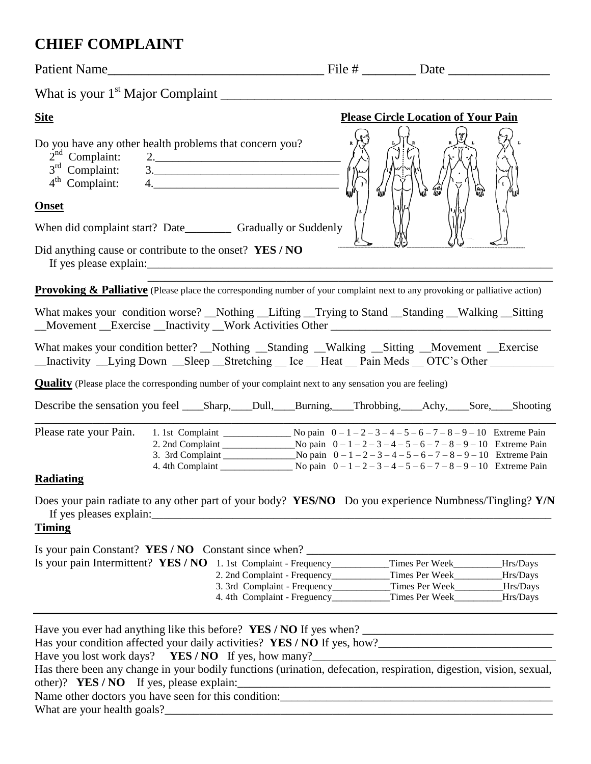# **CHIEF COMPLAINT**

| <b>Site</b>                                                                                                                                                                                                                                                                                                                                                | <b>Please Circle Location of Your Pain</b>                                 |  |
|------------------------------------------------------------------------------------------------------------------------------------------------------------------------------------------------------------------------------------------------------------------------------------------------------------------------------------------------------------|----------------------------------------------------------------------------|--|
| Do you have any other health problems that concern you?<br>$2nd$ Complaint:<br>$2. \qquad \qquad \overbrace{\qquad \qquad }$<br>$3rd$ Complaint: $3.$<br>4 <sup>th</sup> Complaint:<br>4.                                                                                                                                                                  |                                                                            |  |
| <b>Onset</b>                                                                                                                                                                                                                                                                                                                                               |                                                                            |  |
| When did complaint start? Date__________ Gradually or Suddenly                                                                                                                                                                                                                                                                                             |                                                                            |  |
| Did anything cause or contribute to the onset? YES / NO                                                                                                                                                                                                                                                                                                    |                                                                            |  |
| <b>Provoking &amp; Palliative</b> (Please place the corresponding number of your complaint next to any provoking or palliative action)                                                                                                                                                                                                                     |                                                                            |  |
| What makes your condition worse? _Nothing _Lifting _Trying to Stand _Standing _Walking _Sitting                                                                                                                                                                                                                                                            |                                                                            |  |
| What makes your condition better? Nothing Standing Walking Sitting Movement Exercise<br>_Inactivity _Lying Down _Sleep _Stretching _ Ice _Heat _Pain Meds _OTC's Other ________                                                                                                                                                                            |                                                                            |  |
| <b>Quality</b> (Please place the corresponding number of your complaint next to any sensation you are feeling)                                                                                                                                                                                                                                             |                                                                            |  |
|                                                                                                                                                                                                                                                                                                                                                            |                                                                            |  |
| Please rate your Pain.<br>Radiating                                                                                                                                                                                                                                                                                                                        |                                                                            |  |
| Does your pain radiate to any other part of your body? YES/NO Do you experience Numbness/Tingling? Y/N                                                                                                                                                                                                                                                     |                                                                            |  |
| <b>Timing</b>                                                                                                                                                                                                                                                                                                                                              |                                                                            |  |
| Is your pain Constant? YES / NO Constant since when? ___________________________<br>Is your pain Intermittent? YES / NO 1. 1st Complaint - Frequency_________Times Per Week________Hrs/Days                                                                                                                                                                |                                                                            |  |
|                                                                                                                                                                                                                                                                                                                                                            | 2. 2nd Complaint - Frequency____________Times Per Week________Hrs/Days     |  |
|                                                                                                                                                                                                                                                                                                                                                            | 4. 4th Complaint - Freguency______________Times Per Week__________Hrs/Days |  |
| Has there been any change in your bodily functions (urination, defecation, respiration, digestion, vision, sexual,<br>Name other doctors you have seen for this condition:<br><u>Letting and</u> the set of the set of the set of the set of the set of the set of the set of the set of the set of the set of the set of the set of the set of the set of |                                                                            |  |

What are your health goals?\_\_\_\_\_\_\_\_\_\_\_\_\_\_\_\_\_\_\_\_\_\_\_\_\_\_\_\_\_\_\_\_\_\_\_\_\_\_\_\_\_\_\_\_\_\_\_\_\_\_\_\_\_\_\_\_\_\_\_\_\_\_\_\_\_\_\_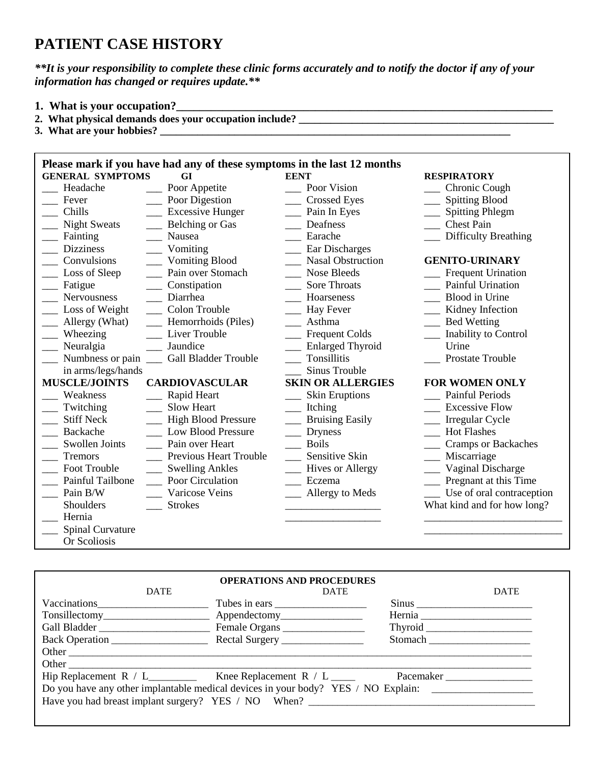# **PATIENT CASE HISTORY**

*\*\*It is your responsibility to complete these clinic forms accurately and to notify the doctor if any of your information has changed or requires update.\*\**

- **1. What is your occupation?\_\_\_\_\_\_\_\_\_\_\_\_\_\_\_\_\_\_\_\_\_\_\_\_\_\_\_\_\_\_\_\_\_\_\_\_\_\_\_\_\_\_\_\_\_\_\_\_\_\_\_\_\_\_\_\_\_\_\_\_\_\_\_\_\_**
- 2. What physical demands does your occupation include?
- **3. What are your hobbies? \_\_\_\_\_\_\_\_\_\_\_\_\_\_\_\_\_\_\_\_\_\_\_\_\_\_\_\_\_\_\_\_\_\_\_\_\_\_\_\_\_\_\_\_\_\_\_\_\_\_\_\_\_\_\_\_\_\_\_\_\_\_\_\_\_\_**

|                         | Please mark if you have had any of these symptoms in the last 12 months |                            |                                        |
|-------------------------|-------------------------------------------------------------------------|----------------------------|----------------------------------------|
| <b>GENERAL SYMPTOMS</b> | GI                                                                      | <b>EENT</b>                | <b>RESPIRATORY</b>                     |
| Headache                | Poor Appetite                                                           | Poor Vision                | __ Chronic Cough                       |
| Fever                   | Poor Digestion                                                          | <b>Crossed Eyes</b>        | __ Spitting Blood                      |
| Chills                  | $\frac{1}{2}$ Excessive Hunger                                          | $\frac{1}{2}$ Pain In Eyes | __ Spitting Phlegm                     |
| <b>Night Sweats</b>     | Belching or Gas                                                         | Deafness                   | <b>Chest Pain</b>                      |
| Fainting                | Nausea                                                                  | Earache                    | <b>Difficulty Breathing</b>            |
| <b>Dizziness</b>        | Vomiting                                                                | Ear Discharges             |                                        |
| Convulsions             | <b>Vomiting Blood</b>                                                   | <b>Nasal Obstruction</b>   | <b>GENITO-URINARY</b>                  |
| __ Loss of Sleep        | Pain over Stomach                                                       | Nose Bleeds                | __ Frequent Urination                  |
| __ Fatigue              | Constipation                                                            | <b>Sore Throats</b>        | <b>Painful Urination</b>               |
| Nervousness             | Diarrhea                                                                | Hoarseness                 | <b>Blood</b> in Urine                  |
| Loss of Weight          | Colon Trouble                                                           | Hay Fever                  | Kidney Infection                       |
| Allergy (What)          | Hemorrhoids (Piles)                                                     | __ Asthma                  | __ Bed Wetting                         |
| Wheezing                | Liver Trouble                                                           | Frequent Colds             | Inability to Control                   |
| Neuralgia               | Jaundice                                                                | <b>Enlarged Thyroid</b>    | Urine                                  |
| Numbness or pain        | <b>Gall Bladder Trouble</b>                                             | Tonsillitis                | Prostate Trouble                       |
| in arms/legs/hands      |                                                                         | Sinus Trouble              |                                        |
| <b>MUSCLE/JOINTS</b>    | <b>CARDIOVASCULAR</b>                                                   | <b>SKIN OR ALLERGIES</b>   | <b>FOR WOMEN ONLY</b>                  |
| Weakness                | Rapid Heart                                                             | <b>Skin Eruptions</b>      | <b>Painful Periods</b>                 |
| Twitching               | <b>Slow Heart</b>                                                       | $\equiv$ Itching           | <b>Excessive Flow</b>                  |
| <b>Stiff Neck</b>       | - High Blood Pressure                                                   | <b>Bruising Easily</b>     | __ Irregular Cycle                     |
| Backache                | <b>Low Blood Pressure</b>                                               | <b>Dryness</b>             | <b>Hot Flashes</b>                     |
| Swollen Joints          | Pain over Heart                                                         | <b>Boils</b>               | Cramps or Backaches                    |
| <b>Tremors</b>          | Previous Heart Trouble                                                  | <b>Sensitive Skin</b>      | Miscarriage                            |
| Foot Trouble            | <b>Swelling Ankles</b>                                                  | <b>Hives or Allergy</b>    | Vaginal Discharge                      |
| Painful Tailbone        | Poor Circulation                                                        | Eczema                     | <b>Example 2</b> Pregnant at this Time |
| Pain B/W                | Varicose Veins                                                          | ___ Allergy to Meds        | Use of oral contraception              |
| Shoulders               | <b>Strokes</b>                                                          |                            | What kind and for how long?            |
| Hernia                  |                                                                         |                            |                                        |
| <b>Spinal Curvature</b> |                                                                         |                            |                                        |
| Or Scoliosis            |                                                                         |                            |                                        |

| <b>DATE</b>  | <b>OPERATIONS AND PROCEDURES</b><br><b>DATE</b>                                                  |                                | <b>DATE</b> |
|--------------|--------------------------------------------------------------------------------------------------|--------------------------------|-------------|
| Vaccinations | Tubes in ears                                                                                    | Sinus                          |             |
|              |                                                                                                  |                                |             |
|              |                                                                                                  |                                |             |
|              |                                                                                                  | Stomach ______________________ |             |
| Other        |                                                                                                  |                                |             |
|              |                                                                                                  |                                |             |
|              | Hip Replacement $R / L$ Knee Replacement $R / L$ Knee Replacement R $/L$ Knee Replacement R $/L$ | <b>Pacemaker Exercise 2</b>    |             |
|              | Do you have any other implantable medical devices in your body? YES / NO Explain:                |                                |             |
|              | Have you had breast implant surgery? YES / NO When?                                              |                                |             |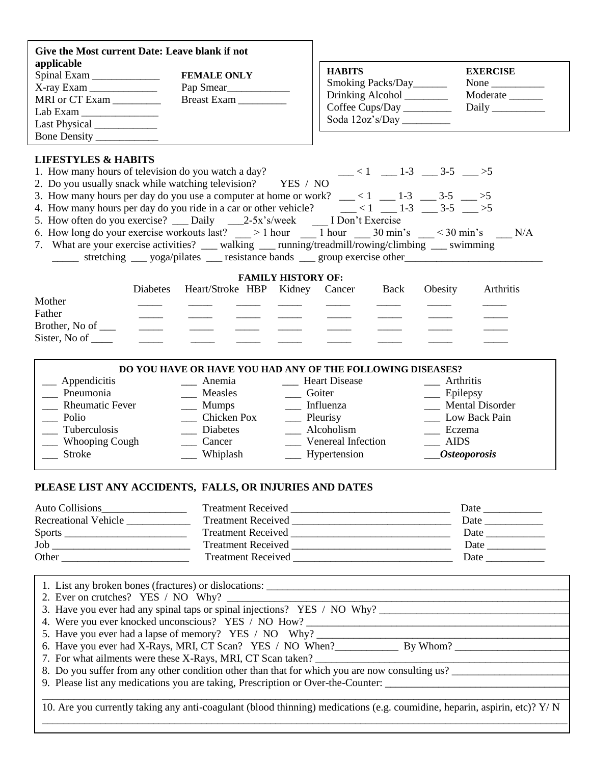| Give the Most current Date: Leave blank if not<br>applicable<br>$\text{Lab Exam}\_\_$<br>Last Physical _____________<br>Bone Density ____________                                                                                                                                                                                                                                                                                                                                                                                                                                                                                                                                                                                                                                            |          | <b>FEMALE ONLY</b><br>Breast Exam __________                                                                                                                                                                                           |                                 | <b>HABITS</b><br>Smoking Packs/Day<br>Drinking Alcohol<br>Coffee Cups/Day _________ |             |                                                    | <b>EXERCISE</b><br>None $\_\_$<br>Moderate<br>Daily |
|----------------------------------------------------------------------------------------------------------------------------------------------------------------------------------------------------------------------------------------------------------------------------------------------------------------------------------------------------------------------------------------------------------------------------------------------------------------------------------------------------------------------------------------------------------------------------------------------------------------------------------------------------------------------------------------------------------------------------------------------------------------------------------------------|----------|----------------------------------------------------------------------------------------------------------------------------------------------------------------------------------------------------------------------------------------|---------------------------------|-------------------------------------------------------------------------------------|-------------|----------------------------------------------------|-----------------------------------------------------|
| <b>LIFESTYLES &amp; HABITS</b><br>1. How many hours of television do you watch a day?<br>2. Do you usually snack while watching television? YES / NO<br>3. How many hours per day do you use a computer at home or work? $\frac{\ }{2}$ < 1 $\frac{\ }{2}$ -1 $\frac{3}{2}$ -5 $\frac{\ }{2}$ >5<br>4. How many hours per day do you ride in a car or other vehicle? $\frac{1}{\sqrt{2}} < 1$ $\frac{1}{\sqrt{2}} < 1$ $\frac{1}{\sqrt{2}} < 3.5$ $\frac{1}{\sqrt{2}} > 5$<br>5. How often do you exercise? __ Daily _____2-5x's/week ______I Don't Exercise<br>6. How long do your exercise workouts last? $\qquad$ > 1 hour $\qquad$ 1 hour 30 min's $\qquad$ < 30 min's $\qquad$ N/A<br>7. What are your exercise activities? __ walking __ running/treadmill/rowing/climbing __ swimming |          | stretching ___ yoga/pilates ___ resistance bands ___ group exercise other                                                                                                                                                              |                                 |                                                                                     |             | $-$ <1 $-$ 1-3 $-$ 3-5 $-$ >5                      |                                                     |
| Mother<br>Father<br>Brother, No of __<br>Sister, No of $\_\_$                                                                                                                                                                                                                                                                                                                                                                                                                                                                                                                                                                                                                                                                                                                                | Diabetes | Heart/Stroke HBP Kidney Cancer                                                                                                                                                                                                         | <b>FAMILY HISTORY OF:</b>       |                                                                                     | <b>Back</b> | Obesity                                            | Arthritis                                           |
| __ Appendicitis<br>Pneumonia<br>Rheumatic Fever<br>Polio<br><b>Tuberculosis</b>                                                                                                                                                                                                                                                                                                                                                                                                                                                                                                                                                                                                                                                                                                              |          | DO YOU HAVE OR HAVE YOU HAD ANY OF THE FOLLOWING DISEASES?<br>$\frac{1}{2}$ Anemia<br>__ Measles ___ Goiter<br>$\frac{1}{\sqrt{1-\frac{1}{2}}}\sqrt{1-\frac{1}{2}}$ Influenza<br>_____ Chicken Pox _______ Pleurisy<br><b>Diabetes</b> | <b>Example 21</b> Heart Disease | Alcoholism                                                                          |             | __ Arthritis<br>$\equiv$ Epilepsy<br><b>Eczema</b> | __ Mental Disorder<br>Low Back Pain                 |

| 1 uperculosis         | Diabetes | AICONOIISHI              | <b>ECZEINA</b>           |
|-----------------------|----------|--------------------------|--------------------------|
| <b>Whooping Cough</b> | cancer   | Venereal Infection       | AIDS                     |
| <b>Stroke</b>         | Whiplash | <u>_</u> __ Hypertension | $\mathit{Dsteo porosis}$ |
|                       |          |                          |                          |

## **PLEASE LIST ANY ACCIDENTS, FALLS, OR INJURIES AND DATES**

| <b>Auto Collisions</b> | <b>Treatment Received</b> | Date |
|------------------------|---------------------------|------|
| Recreational Vehicle   | <b>Treatment Received</b> | Date |
| <b>Sports</b>          | <b>Treatment Received</b> | Date |
| Job                    | <b>Treatment Received</b> | Date |
| Other                  | <b>Treatment Received</b> | Date |

| 1. List any broken bones (fractures) or dislocations:                                                                     |
|---------------------------------------------------------------------------------------------------------------------------|
| 2. Ever on crutches? YES / NO Why?                                                                                        |
| 3. Have you ever had any spinal taps or spinal injections? YES / NO Why?                                                  |
| 4. Were you ever knocked unconscious? YES / NO How?                                                                       |
| 5. Have you ever had a lapse of memory? YES / NO Why?                                                                     |
|                                                                                                                           |
| 7. For what ailments were these X-Rays, MRI, CT Scan taken?                                                               |
| 8. Do you suffer from any other condition other than that for which you are now consulting us?                            |
| 9. Please list any medications you are taking, Prescription or Over-the-Counter:                                          |
|                                                                                                                           |
| 10. Are you currently taking any anti-coagulant (blood thinning) medications (e.g. coumidine, heparin, aspirin, etc)? Y/N |
|                                                                                                                           |